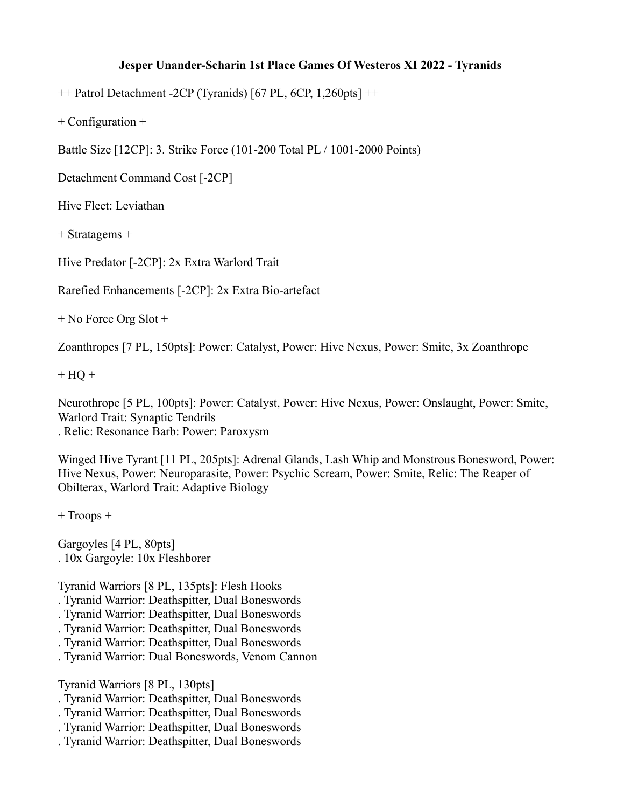## **Jesper Unander-Scharin 1st Place Games Of Westeros XI 2022 - Tyranids**

++ Patrol Detachment -2CP (Tyranids) [67 PL, 6CP, 1,260pts] ++

+ Configuration +

Battle Size [12CP]: 3. Strike Force (101-200 Total PL / 1001-2000 Points)

Detachment Command Cost [-2CP]

Hive Fleet: Leviathan

+ Stratagems +

Hive Predator [-2CP]: 2x Extra Warlord Trait

Rarefied Enhancements [-2CP]: 2x Extra Bio-artefact

+ No Force Org Slot +

Zoanthropes [7 PL, 150pts]: Power: Catalyst, Power: Hive Nexus, Power: Smite, 3x Zoanthrope

 $+ HO +$ 

Neurothrope [5 PL, 100pts]: Power: Catalyst, Power: Hive Nexus, Power: Onslaught, Power: Smite, Warlord Trait: Synaptic Tendrils . Relic: Resonance Barb: Power: Paroxysm

Winged Hive Tyrant [11 PL, 205pts]: Adrenal Glands, Lash Whip and Monstrous Bonesword, Power: Hive Nexus, Power: Neuroparasite, Power: Psychic Scream, Power: Smite, Relic: The Reaper of Obilterax, Warlord Trait: Adaptive Biology

+ Troops +

Gargoyles [4 PL, 80pts] . 10x Gargoyle: 10x Fleshborer

Tyranid Warriors [8 PL, 135pts]: Flesh Hooks

- . Tyranid Warrior: Deathspitter, Dual Boneswords
- . Tyranid Warrior: Deathspitter, Dual Boneswords
- . Tyranid Warrior: Deathspitter, Dual Boneswords
- . Tyranid Warrior: Deathspitter, Dual Boneswords
- . Tyranid Warrior: Dual Boneswords, Venom Cannon

Tyranid Warriors [8 PL, 130pts]

- . Tyranid Warrior: Deathspitter, Dual Boneswords
- . Tyranid Warrior: Deathspitter, Dual Boneswords
- . Tyranid Warrior: Deathspitter, Dual Boneswords
- . Tyranid Warrior: Deathspitter, Dual Boneswords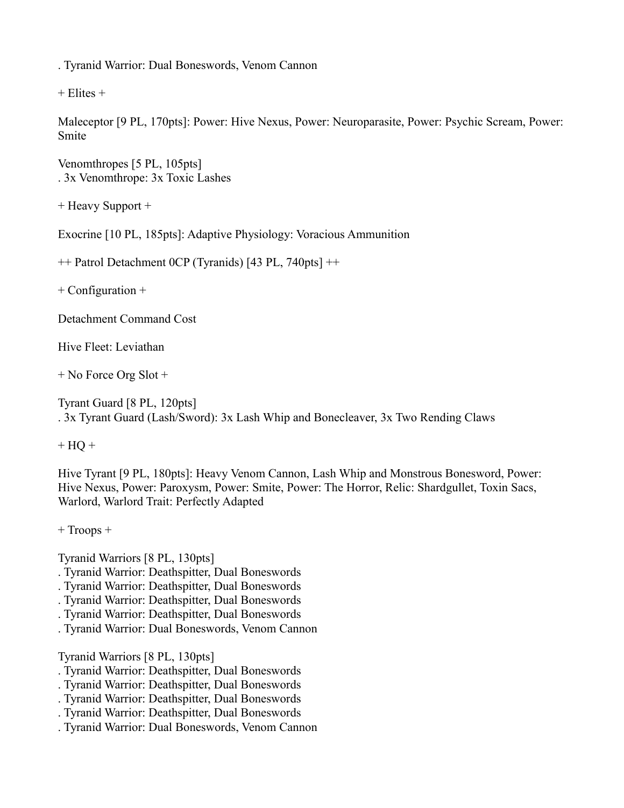. Tyranid Warrior: Dual Boneswords, Venom Cannon

 $+$  Elites  $+$ 

Maleceptor [9 PL, 170pts]: Power: Hive Nexus, Power: Neuroparasite, Power: Psychic Scream, Power: Smite

Venomthropes [5 PL, 105pts] . 3x Venomthrope: 3x Toxic Lashes

+ Heavy Support +

Exocrine [10 PL, 185pts]: Adaptive Physiology: Voracious Ammunition

++ Patrol Detachment 0CP (Tyranids) [43 PL, 740pts] ++

+ Configuration +

Detachment Command Cost

Hive Fleet: Leviathan

+ No Force Org Slot +

Tyrant Guard [8 PL, 120pts] . 3x Tyrant Guard (Lash/Sword): 3x Lash Whip and Bonecleaver, 3x Two Rending Claws

 $+ HO +$ 

Hive Tyrant [9 PL, 180pts]: Heavy Venom Cannon, Lash Whip and Monstrous Bonesword, Power: Hive Nexus, Power: Paroxysm, Power: Smite, Power: The Horror, Relic: Shardgullet, Toxin Sacs, Warlord, Warlord Trait: Perfectly Adapted

+ Troops +

Tyranid Warriors [8 PL, 130pts]

- . Tyranid Warrior: Deathspitter, Dual Boneswords
- . Tyranid Warrior: Deathspitter, Dual Boneswords
- . Tyranid Warrior: Deathspitter, Dual Boneswords
- . Tyranid Warrior: Deathspitter, Dual Boneswords
- . Tyranid Warrior: Dual Boneswords, Venom Cannon

Tyranid Warriors [8 PL, 130pts]

- . Tyranid Warrior: Deathspitter, Dual Boneswords
- . Tyranid Warrior: Deathspitter, Dual Boneswords
- . Tyranid Warrior: Deathspitter, Dual Boneswords
- . Tyranid Warrior: Deathspitter, Dual Boneswords
- . Tyranid Warrior: Dual Boneswords, Venom Cannon